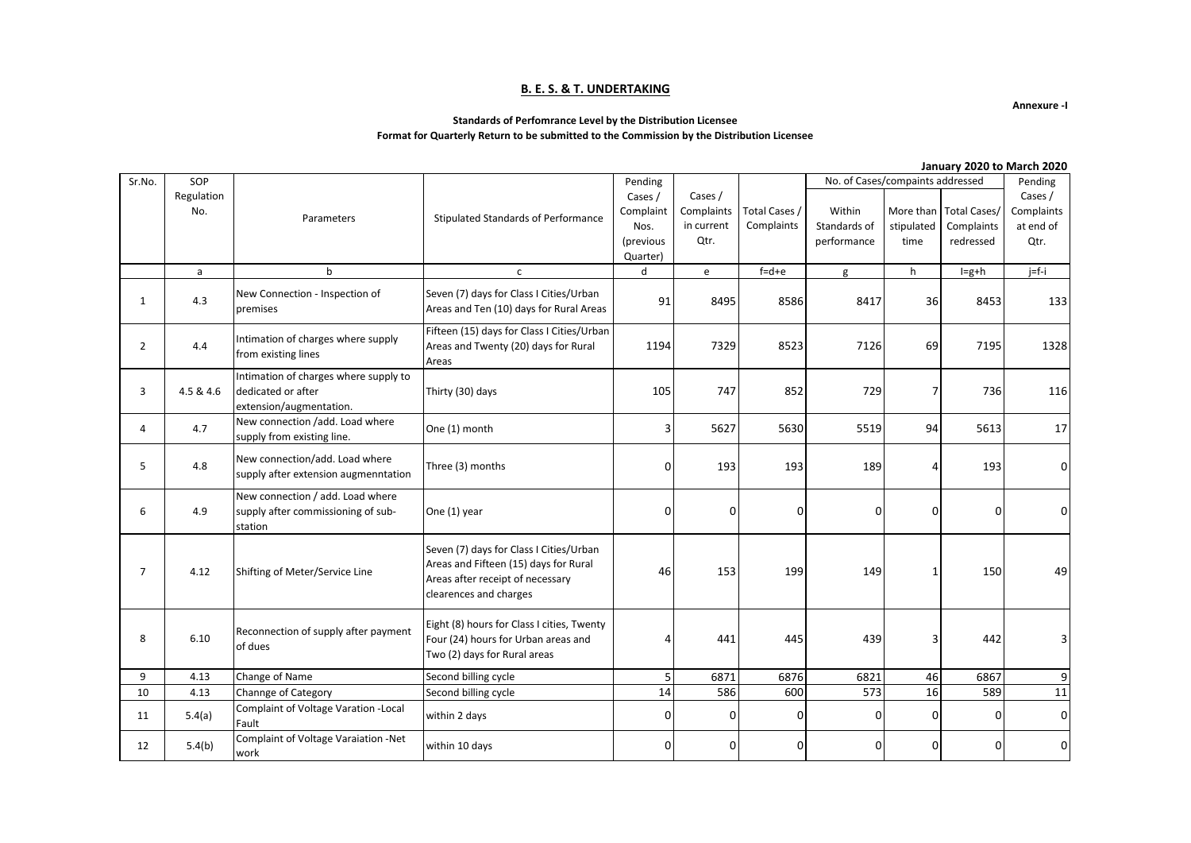### **B. E. S. & T. UNDERTAKING**

**Annexure -I**

### **Standards of Perfomrance Level by the Distribution Licensee**

### **Format for Quarterly Return to be submitted to the Commission by the Distribution Licensee**

**January 2020 to March 2020**

| Sr.No.         | SOP               |                                                                                        |                                                                                                                                                | Pending                                               |                                             |                             |                                       |                                 | No. of Cases/compaints addressed               |                                            |
|----------------|-------------------|----------------------------------------------------------------------------------------|------------------------------------------------------------------------------------------------------------------------------------------------|-------------------------------------------------------|---------------------------------------------|-----------------------------|---------------------------------------|---------------------------------|------------------------------------------------|--------------------------------------------|
|                | Regulation<br>No. | Parameters                                                                             | Stipulated Standards of Performance                                                                                                            | Cases /<br>Complaint<br>Nos.<br>(previous<br>Quarter) | Cases /<br>Complaints<br>in current<br>Qtr. | Total Cases /<br>Complaints | Within<br>Standards of<br>performance | More than<br>stipulated<br>time | <b>Total Cases/</b><br>Complaints<br>redressed | Cases /<br>Complaints<br>at end of<br>Qtr. |
|                | a                 | b                                                                                      | $\mathsf{C}$                                                                                                                                   | d                                                     | e                                           | $f = d + e$                 | g                                     | h                               | $I=g+h$                                        | $j=f-i$                                    |
| 1              | 4.3               | New Connection - Inspection of<br>premises                                             | Seven (7) days for Class I Cities/Urban<br>Areas and Ten (10) days for Rural Areas                                                             | 91                                                    | 8495                                        | 8586                        | 8417                                  |                                 | 8453                                           | 133                                        |
| $\overline{2}$ | 4.4               | Intimation of charges where supply<br>from existing lines                              | Fifteen (15) days for Class I Cities/Urban<br>Areas and Twenty (20) days for Rural<br>Areas                                                    | 1194                                                  | 7329                                        | 8523                        | 7126                                  | 69                              | 7195                                           | 1328                                       |
| 3              | 4.5 & 4.6         | Intimation of charges where supply to<br>dedicated or after<br>extension/augmentation. | Thirty (30) days                                                                                                                               | 105                                                   | 747                                         | 852                         | 729                                   | 7                               | 736                                            | 116                                        |
| 4              | 4.7               | New connection /add. Load where<br>supply from existing line.                          | One (1) month                                                                                                                                  | 3                                                     | 5627                                        | 5630                        | 5519                                  | 94                              | 5613                                           | 17                                         |
| 5              | 4.8               | New connection/add. Load where<br>supply after extension augmenntation                 | Three (3) months                                                                                                                               | 0                                                     | 193                                         | 193                         | 189                                   | 4                               | 193                                            | $\overline{0}$                             |
| 6              | 4.9               | New connection / add. Load where<br>supply after commissioning of sub-<br>station      | One (1) year                                                                                                                                   | 0                                                     | 0                                           | 0                           | 0                                     | 0                               | 0                                              | $\overline{0}$                             |
| $\overline{7}$ | 4.12              | Shifting of Meter/Service Line                                                         | Seven (7) days for Class I Cities/Urban<br>Areas and Fifteen (15) days for Rural<br>Areas after receipt of necessary<br>clearences and charges | 46                                                    | 153                                         | 199                         | 149                                   | $\mathbf{1}$                    | 150                                            | 49                                         |
| 8              | 6.10              | Reconnection of supply after payment<br>of dues                                        | Eight (8) hours for Class I cities, Twenty<br>Four (24) hours for Urban areas and<br>441<br>445<br>⊿<br>Two (2) days for Rural areas           |                                                       | 439                                         | 3                           | 442                                   | 3                               |                                                |                                            |
| 9              | 4.13              | Change of Name                                                                         | Second billing cycle                                                                                                                           | 5                                                     | 6871                                        | 6876                        | 6821                                  | 46                              | 6867                                           | 9                                          |
| 10             | 4.13              | Channge of Category                                                                    | Second billing cycle                                                                                                                           | 14                                                    | 586                                         | 600                         | 573                                   | 16                              | 589                                            | 11                                         |
| 11             | 5.4(a)            | Complaint of Voltage Varation - Local<br>Fault                                         | within 2 days                                                                                                                                  | 0                                                     | 0                                           | $\mathbf{0}$                | 0                                     | 0                               | $\Omega$                                       | $\overline{0}$                             |
| 12             | 5.4(b)            | Complaint of Voltage Varaiation -Net<br>work                                           | within 10 days                                                                                                                                 | 0                                                     | 0                                           | 0                           | 0                                     | 0                               | 0                                              | $\overline{0}$                             |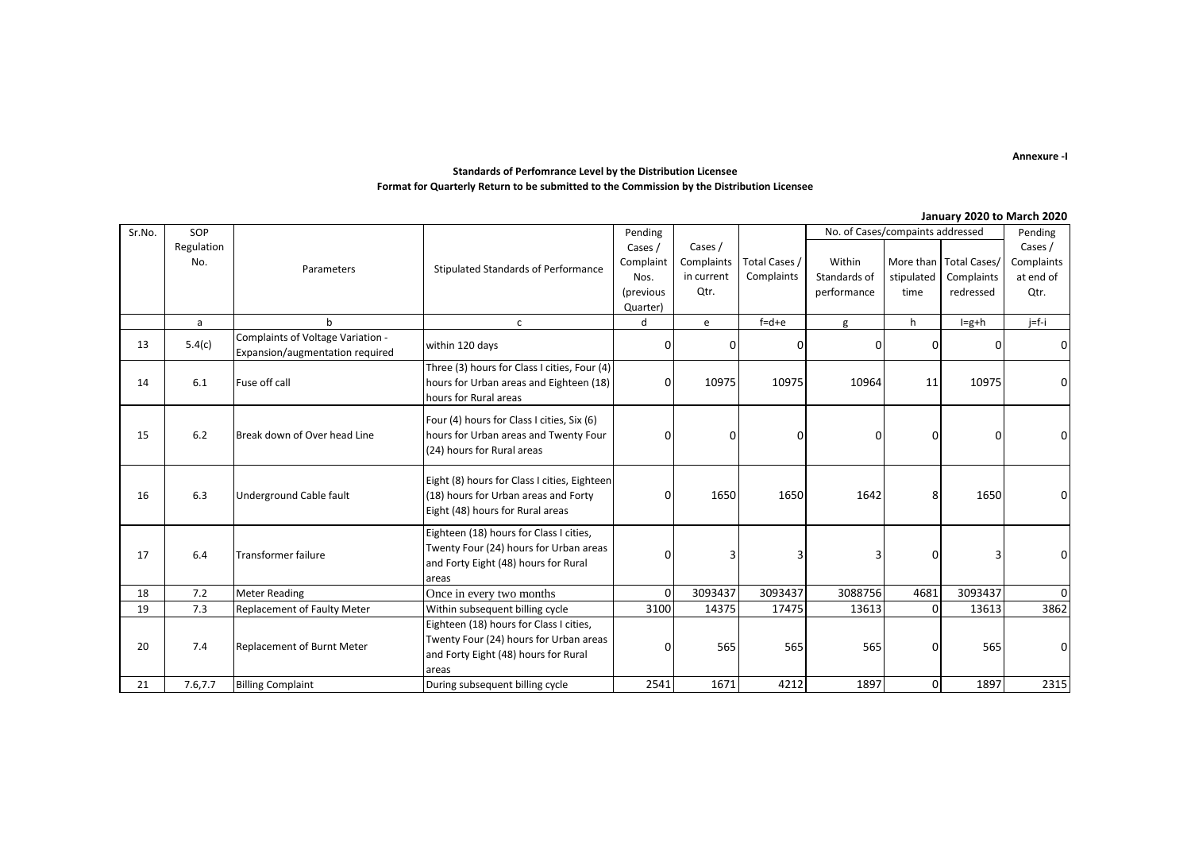#### **Annexure -I**

### **Standards of Perfomrance Level by the Distribution Licensee Format for Quarterly Return to be submitted to the Commission by the Distribution Licensee**

#### **January 2020 to March 2020**

| Sr.No. | SOP                  |                                                                      |                                                                                                                                    | Pending   |            |               | No. of Cases/compaints addressed |              |                          | Pending    |
|--------|----------------------|----------------------------------------------------------------------|------------------------------------------------------------------------------------------------------------------------------------|-----------|------------|---------------|----------------------------------|--------------|--------------------------|------------|
|        | Regulation           |                                                                      |                                                                                                                                    | Cases /   | Cases /    |               |                                  |              |                          | Cases /    |
|        | No.                  | Parameters                                                           | Stipulated Standards of Performance                                                                                                | Complaint | Complaints | Total Cases / | Within                           |              | More than   Total Cases/ | Complaints |
|        |                      |                                                                      |                                                                                                                                    | Nos.      | in current | Complaints    | Standards of                     | stipulated   | Complaints               | at end of  |
|        |                      |                                                                      |                                                                                                                                    | (previous | Qtr.       |               | performance                      | time         | redressed                | Qtr.       |
|        |                      |                                                                      |                                                                                                                                    | Quarter)  |            |               |                                  |              |                          |            |
|        | a                    | h                                                                    | $\mathsf{C}$                                                                                                                       | d         | e          | $f = d + e$   | g                                | h            | $I=g+h$                  | $j=f-i$    |
| 13     | 5.4(c)               | Complaints of Voltage Variation -<br>Expansion/augmentation required | within 120 days                                                                                                                    | 0         | 0          | 0             | 0                                | 0            |                          | $\Omega$   |
| 14     | Fuse off call<br>6.1 |                                                                      | Three (3) hours for Class I cities, Four (4)<br>hours for Urban areas and Eighteen (18)<br>hours for Rural areas                   | 0         | 10975      | 10975         | 10964                            | 11           | 10975                    | 0          |
| 15     | 6.2                  | Break down of Over head Line                                         | Four (4) hours for Class I cities, Six (6)<br>hours for Urban areas and Twenty Four<br>(24) hours for Rural areas                  | 0         | 0          | 0             | 0                                | 0            | n                        | 0          |
| 16     | 6.3                  | Underground Cable fault                                              | Eight (8) hours for Class I cities, Eighteen<br>(18) hours for Urban areas and Forty<br>Eight (48) hours for Rural areas           | 0         | 1650       | 1650          | 1642                             | 8            | 1650                     | 0          |
| 17     | 6.4                  | Transformer failure                                                  | Eighteen (18) hours for Class I cities,<br>Twenty Four (24) hours for Urban areas<br>and Forty Eight (48) hours for Rural<br>areas | n         | Э          | 3             | 3                                | 0            |                          | $\Omega$   |
| 18     | 7.2                  | <b>Meter Reading</b>                                                 | Once in every two months                                                                                                           | $\Omega$  | 3093437    | 3093437       | 3088756                          | 4681         | 3093437                  | $\Omega$   |
| 19     | 7.3                  | <b>Replacement of Faulty Meter</b>                                   | Within subsequent billing cycle                                                                                                    | 3100      | 14375      | 17475         | 13613                            | $\Omega$     | 13613                    | 3862       |
| 20     | 7.4                  | <b>Replacement of Burnt Meter</b>                                    | Eighteen (18) hours for Class I cities,<br>Twenty Four (24) hours for Urban areas<br>and Forty Eight (48) hours for Rural<br>areas | 0         | 565        | 565           | 565                              | 0            | 565                      | 0          |
| 21     | 7.6,7.7              | <b>Billing Complaint</b>                                             | During subsequent billing cycle                                                                                                    | 2541      | 1671       | 4212          | 1897                             | $\mathbf{0}$ | 1897                     | 2315       |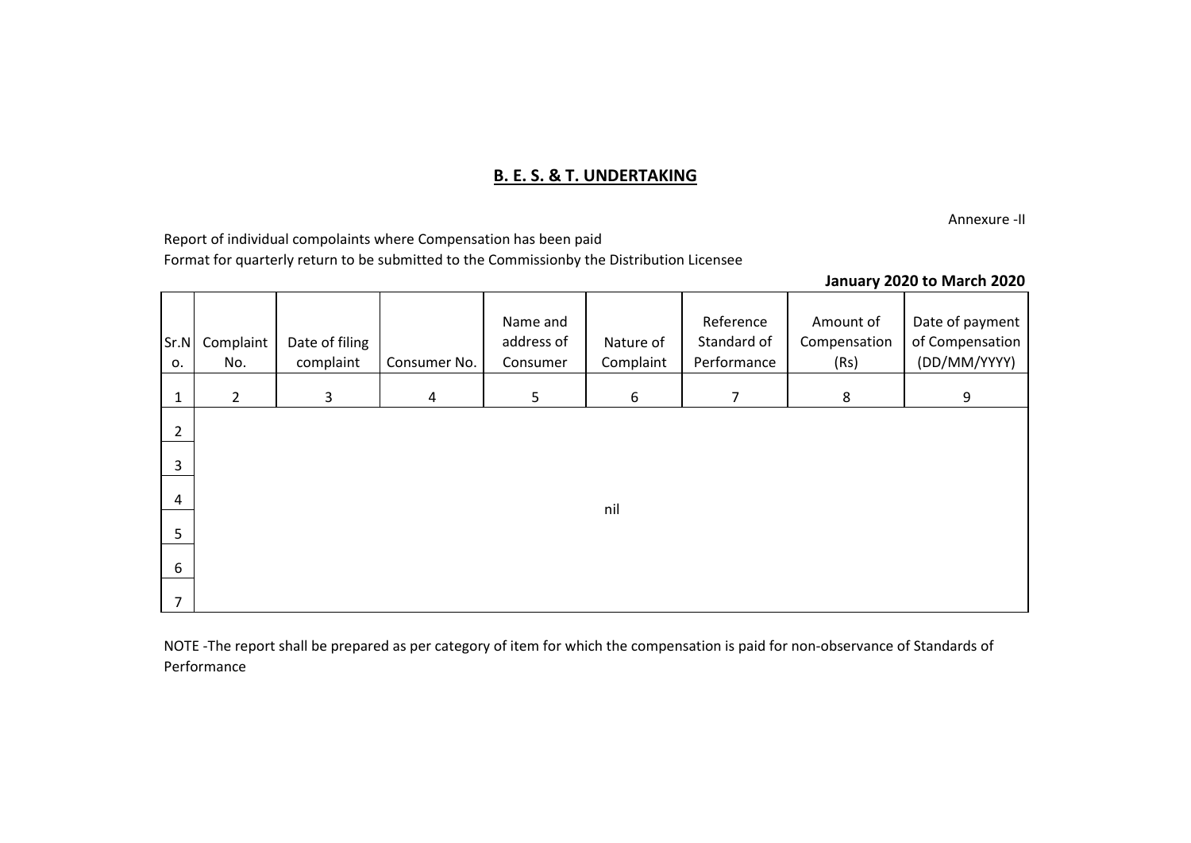## **B. E. S. & T. UNDERTAKING**

Annexure -II

Report of individual compolaints where Compensation has been paid Format for quarterly return to be submitted to the Commissionby the Distribution Licensee

## **January 2020 to March 2020**

| Sr.N<br>0.     | Complaint<br>No. | Date of filing<br>complaint | Consumer No.   | Name and<br>address of<br>Consumer | Nature of<br>Complaint | Reference<br>Standard of<br>Performance | Amount of<br>Compensation<br>(Rs) | Date of payment<br>of Compensation<br>(DD/MM/YYYY) |
|----------------|------------------|-----------------------------|----------------|------------------------------------|------------------------|-----------------------------------------|-----------------------------------|----------------------------------------------------|
| $\mathbf{1}$   | $2^{\circ}$      | $\mathbf{3}$                | $\overline{4}$ | 5                                  | 6                      | $\overline{7}$                          | 8                                 | 9                                                  |
| $\overline{2}$ |                  |                             |                |                                    |                        |                                         |                                   |                                                    |
| 3              |                  |                             |                |                                    |                        |                                         |                                   |                                                    |
| $\overline{4}$ |                  |                             |                |                                    | nil                    |                                         |                                   |                                                    |
| 5              |                  |                             |                |                                    |                        |                                         |                                   |                                                    |
| 6              |                  |                             |                |                                    |                        |                                         |                                   |                                                    |
| $\overline{7}$ |                  |                             |                |                                    |                        |                                         |                                   |                                                    |

NOTE -The report shall be prepared as per category of item for which the compensation is paid for non-observance of Standards of Performance